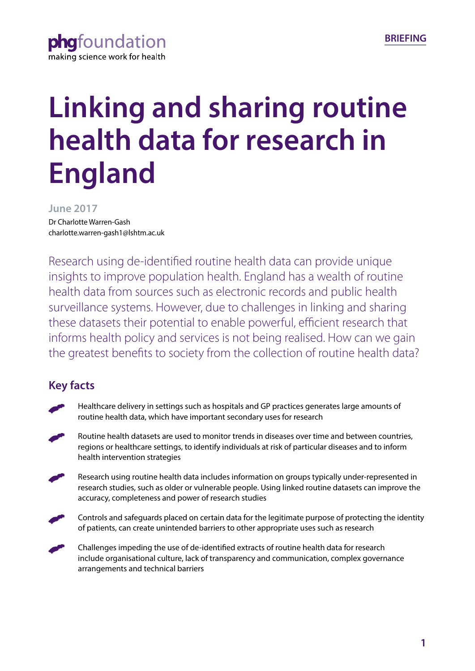

# **Linking and sharing routine health data for research in England**

**June 2017**

Dr Charlotte Warren-Gash charlotte.warren-gash1@lshtm.ac.uk

Research using de-identified routine health data can provide unique insights to improve population health. England has a wealth of routine health data from sources such as electronic records and public health surveillance systems. However, due to challenges in linking and sharing these datasets their potential to enable powerful, efficient research that informs health policy and services is not being realised. How can we gain the greatest benefits to society from the collection of routine health data?

# **Key facts**

- Healthcare delivery in settings such as hospitals and GP practices generates large amounts of routine health data, which have important secondary uses for research
- Routine health datasets are used to monitor trends in diseases over time and between countries, regions or healthcare settings, to identify individuals at risk of particular diseases and to inform health intervention strategies
- Research using routine health data includes information on groups typically under-represented in research studies, such as older or vulnerable people. Using linked routine datasets can improve the accuracy, completeness and power of research studies
- Controls and safeguards placed on certain data for the legitimate purpose of protecting the identity of patients, can create unintended barriers to other appropriate uses such as research
- Challenges impeding the use of de-identified extracts of routine health data for research include organisational culture, lack of transparency and communication, complex governance arrangements and technical barriers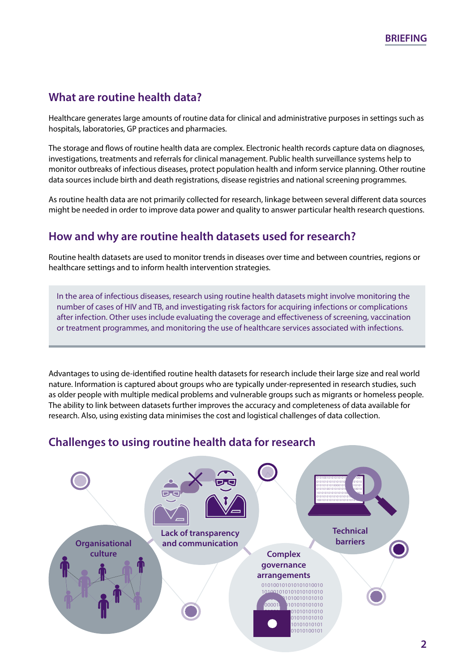# **What are routine health data?**

Healthcare generates large amounts of routine data for clinical and administrative purposes in settings such as hospitals, laboratories, GP practices and pharmacies.

The storage and flows of routine health data are complex. Electronic health records capture data on diagnoses, investigations, treatments and referrals for clinical management. Public health surveillance systems help to monitor outbreaks of infectious diseases, protect population health and inform service planning. Other routine data sources include birth and death registrations, disease registries and national screening programmes.

As routine health data are not primarily collected for research, linkage between several different data sources might be needed in order to improve data power and quality to answer particular health research questions.

## **How and why are routine health datasets used for research?**

Routine health datasets are used to monitor trends in diseases over time and between countries, regions or healthcare settings and to inform health intervention strategies.

In the area of infectious diseases, research using routine health datasets might involve monitoring the number of cases of HIV and TB, and investigating risk factors for acquiring infections or complications after infection. Other uses include evaluating the coverage and effectiveness of screening, vaccination or treatment programmes, and monitoring the use of healthcare services associated with infections.

Advantages to using de-identified routine health datasets for research include their large size and real world nature. Information is captured about groups who are typically under-represented in research studies, such as older people with multiple medical problems and vulnerable groups such as migrants or homeless people. The ability to link between datasets further improves the accuracy and completeness of data available for research. Also, using existing data minimises the cost and logistical challenges of data collection.

## **Challenges to using routine health data for research**

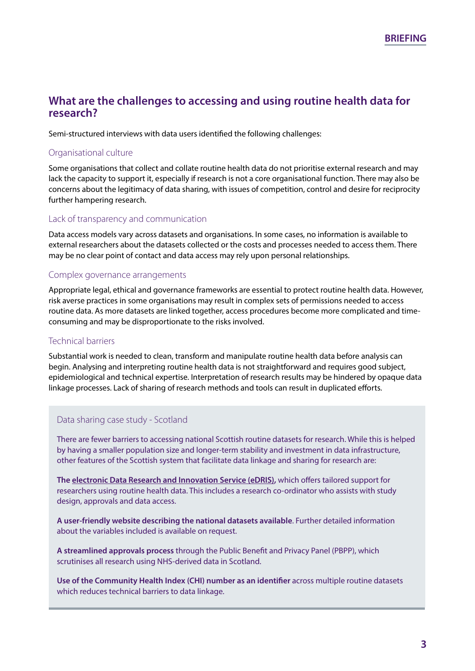## **What are the challenges to accessing and using routine health data for research?**

Semi-structured interviews with data users identified the following challenges:

#### Organisational culture

Some organisations that collect and collate routine health data do not prioritise external research and may lack the capacity to support it, especially if research is not a core organisational function. There may also be concerns about the legitimacy of data sharing, with issues of competition, control and desire for reciprocity further hampering research.

#### Lack of transparency and communication

Data access models vary across datasets and organisations. In some cases, no information is available to external researchers about the datasets collected or the costs and processes needed to access them. There may be no clear point of contact and data access may rely upon personal relationships.

#### Complex governance arrangements

Appropriate legal, ethical and governance frameworks are essential to protect routine health data. However, risk averse practices in some organisations may result in complex sets of permissions needed to access routine data. As more datasets are linked together, access procedures become more complicated and timeconsuming and may be disproportionate to the risks involved.

#### Technical barriers

Substantial work is needed to clean, transform and manipulate routine health data before analysis can begin. Analysing and interpreting routine health data is not straightforward and requires good subject, epidemiological and technical expertise. Interpretation of research results may be hindered by opaque data linkage processes. Lack of sharing of research methods and tools can result in duplicated efforts.

#### Data sharing case study - Scotland

There are fewer barriers to accessing national Scottish routine datasets for research. While this is helped by having a smaller population size and longer-term stability and investment in data infrastructure, other features of the Scottish system that facilitate data linkage and sharing for research are:

**The [electronic Data Research and Innovation Service \(eDRIS\),](http://www.isdscotland.org/Products-and-Services/EDRIS/)** which offers tailored support for researchers using routine health data. This includes a research co-ordinator who assists with study design, approvals and data access.

**A user-friendly website describing the national datasets available**. Further detailed information about the variables included is available on request.

**A streamlined approvals process** through the Public Benefit and Privacy Panel (PBPP), which scrutinises all research using NHS-derived data in Scotland.

**Use of the Community Health Index (CHI) number as an identifier** across multiple routine datasets which reduces technical barriers to data linkage.